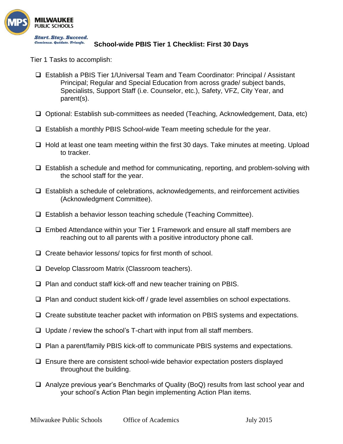

## **School-wide PBIS Tier 1 Checklist: First 30 Days**

Tier 1 Tasks to accomplish:

- Establish a PBIS Tier 1/Universal Team and Team Coordinator: Principal / Assistant Principal; Regular and Special Education from across grade/ subject bands, Specialists, Support Staff (i.e. Counselor, etc.), Safety, VFZ, City Year, and parent(s).
- Optional: Establish sub-committees as needed (Teaching, Acknowledgement, Data, etc)
- Establish a monthly PBIS School-wide Team meeting schedule for the year.
- □ Hold at least one team meeting within the first 30 days. Take minutes at meeting. Upload to tracker.
- $\Box$  Establish a schedule and method for communicating, reporting, and problem-solving with the school staff for the year.
- $\Box$  Establish a schedule of celebrations, acknowledgements, and reinforcement activities (Acknowledgment Committee).
- $\Box$  Establish a behavior lesson teaching schedule (Teaching Committee).
- Embed Attendance within your Tier 1 Framework and ensure all staff members are reaching out to all parents with a positive introductory phone call.
- $\Box$  Create behavior lessons/ topics for first month of school.
- □ Develop Classroom Matrix (Classroom teachers).
- $\Box$  Plan and conduct staff kick-off and new teacher training on PBIS.
- $\Box$  Plan and conduct student kick-off / grade level assemblies on school expectations.
- $\Box$  Create substitute teacher packet with information on PBIS systems and expectations.
- $\Box$  Update / review the school's T-chart with input from all staff members.
- $\Box$  Plan a parent/family PBIS kick-off to communicate PBIS systems and expectations.
- $\Box$  Ensure there are consistent school-wide behavior expectation posters displayed throughout the building.
- $\Box$  Analyze previous year's Benchmarks of Quality (BoQ) results from last school year and your school's Action Plan begin implementing Action Plan items.